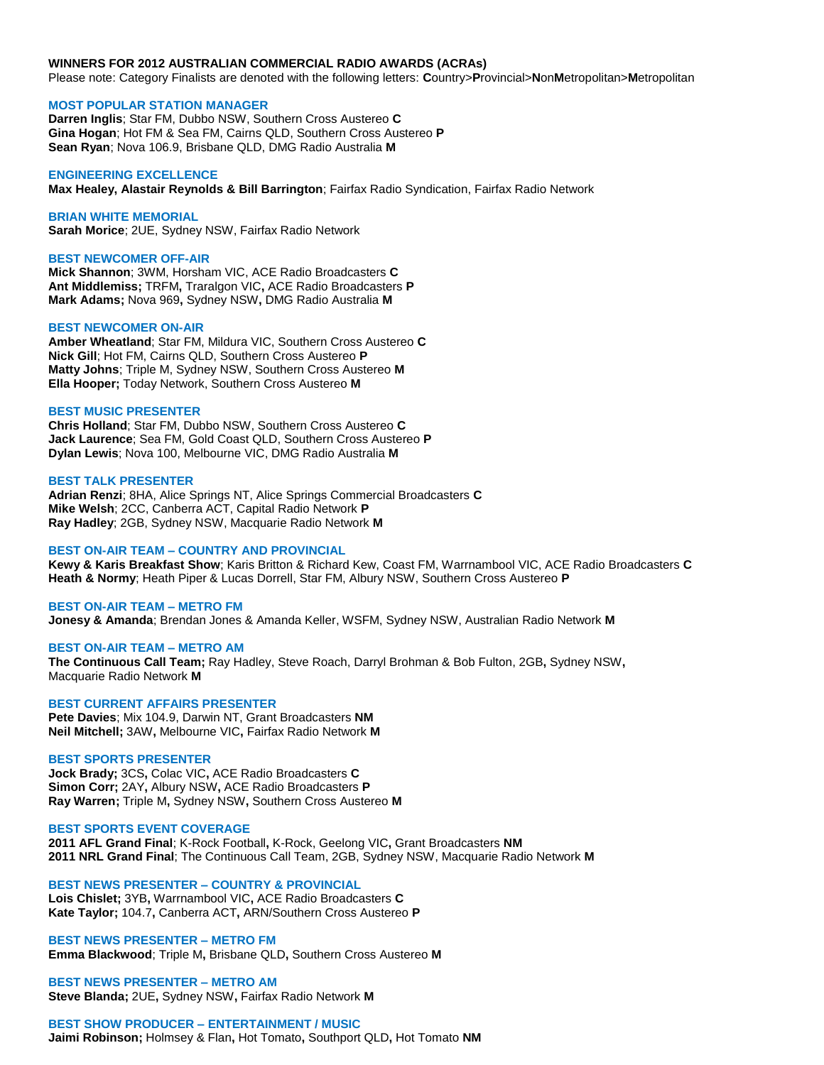#### **WINNERS FOR 2012 AUSTRALIAN COMMERCIAL RADIO AWARDS (ACRAs)**

Please note: Category Finalists are denoted with the following letters: **C**ountry>**P**rovincial>**N**on**M**etropolitan>**M**etropolitan

#### **MOST POPULAR STATION MANAGER**

**Darren Inglis**; Star FM, Dubbo NSW, Southern Cross Austereo **C Gina Hogan**; Hot FM & Sea FM, Cairns QLD, Southern Cross Austereo **P Sean Ryan**; Nova 106.9, Brisbane QLD, DMG Radio Australia **M**

## **ENGINEERING EXCELLENCE**

**Max Healey, Alastair Reynolds & Bill Barrington**; Fairfax Radio Syndication, Fairfax Radio Network

#### **BRIAN WHITE MEMORIAL**

**Sarah Morice**; 2UE, Sydney NSW, Fairfax Radio Network

#### **BEST NEWCOMER OFF-AIR**

**Mick Shannon**; 3WM, Horsham VIC, ACE Radio Broadcasters **C Ant Middlemiss;** TRFM**,** Traralgon VIC**,** ACE Radio Broadcasters **P Mark Adams;** Nova 969**,** Sydney NSW**,** DMG Radio Australia **M**

## **BEST NEWCOMER ON-AIR**

**Amber Wheatland**; Star FM, Mildura VIC, Southern Cross Austereo **C Nick Gill**; Hot FM, Cairns QLD, Southern Cross Austereo **P Matty Johns**; Triple M, Sydney NSW, Southern Cross Austereo **M Ella Hooper;** Today Network, Southern Cross Austereo **M**

#### **BEST MUSIC PRESENTER**

**Chris Holland**; Star FM, Dubbo NSW, Southern Cross Austereo **C Jack Laurence**; Sea FM, Gold Coast QLD, Southern Cross Austereo **P Dylan Lewis**; Nova 100, Melbourne VIC, DMG Radio Australia **M**

## **BEST TALK PRESENTER**

**Adrian Renzi**; 8HA, Alice Springs NT, Alice Springs Commercial Broadcasters **C Mike Welsh**; 2CC, Canberra ACT, Capital Radio Network **P Ray Hadley**; 2GB, Sydney NSW, Macquarie Radio Network **M**

## **BEST ON-AIR TEAM – COUNTRY AND PROVINCIAL**

**Kewy & Karis Breakfast Show**; Karis Britton & Richard Kew, Coast FM, Warrnambool VIC, ACE Radio Broadcasters **C Heath & Normy**; Heath Piper & Lucas Dorrell, Star FM, Albury NSW, Southern Cross Austereo **P**

#### **BEST ON-AIR TEAM – METRO FM**

**Jonesy & Amanda**; Brendan Jones & Amanda Keller, WSFM, Sydney NSW, Australian Radio Network **M**

#### **BEST ON-AIR TEAM – METRO AM**

**The Continuous Call Team;** Ray Hadley, Steve Roach, Darryl Brohman & Bob Fulton, 2GB**,** Sydney NSW**,**  Macquarie Radio Network **M**

### **BEST CURRENT AFFAIRS PRESENTER**

**Pete Davies**; Mix 104.9, Darwin NT, Grant Broadcasters **NM Neil Mitchell;** 3AW**,** Melbourne VIC**,** Fairfax Radio Network **M**

#### **BEST SPORTS PRESENTER**

**Jock Brady;** 3CS**,** Colac VIC**,** ACE Radio Broadcasters **C Simon Corr;** 2AY**,** Albury NSW**,** ACE Radio Broadcasters **P Ray Warren;** Triple M**,** Sydney NSW**,** Southern Cross Austereo **M**

#### **BEST SPORTS EVENT COVERAGE**

**2011 AFL Grand Final**; K-Rock Football**,** K-Rock, Geelong VIC**,** Grant Broadcasters **NM 2011 NRL Grand Final**; The Continuous Call Team, 2GB, Sydney NSW, Macquarie Radio Network **M**

# **BEST NEWS PRESENTER – COUNTRY & PROVINCIAL**

**Lois Chislet;** 3YB**,** Warrnambool VIC**,** ACE Radio Broadcasters **C Kate Taylor;** 104.7**,** Canberra ACT**,** ARN/Southern Cross Austereo **P**

## **BEST NEWS PRESENTER – METRO FM Emma Blackwood**; Triple M**,** Brisbane QLD**,** Southern Cross Austereo **M**

**BEST NEWS PRESENTER – METRO AM Steve Blanda;** 2UE**,** Sydney NSW**,** Fairfax Radio Network **M** 

**BEST SHOW PRODUCER – ENTERTAINMENT / MUSIC Jaimi Robinson;** Holmsey & Flan**,** Hot Tomato**,** Southport QLD**,** Hot Tomato **NM**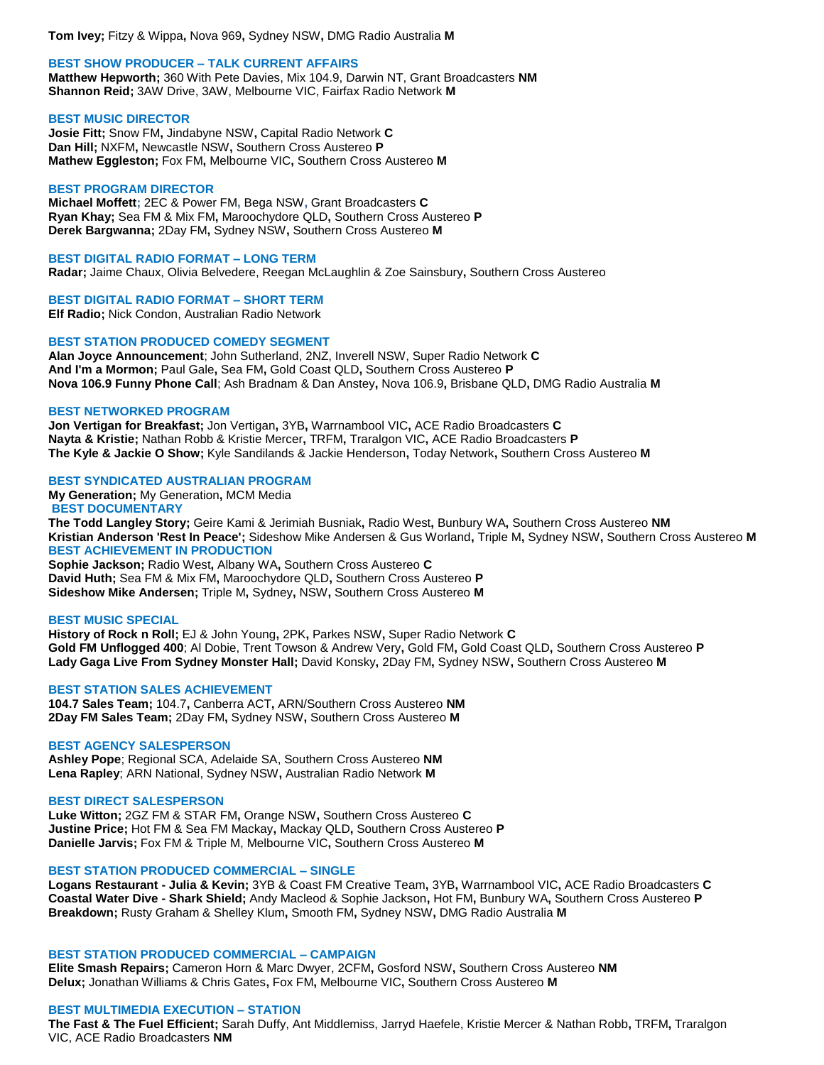**Tom Ivey;** Fitzy & Wippa**,** Nova 969**,** Sydney NSW**,** DMG Radio Australia **M**

## **BEST SHOW PRODUCER – TALK CURRENT AFFAIRS**

**Matthew Hepworth;** 360 With Pete Davies, Mix 104.9, Darwin NT, Grant Broadcasters **NM Shannon Reid;** 3AW Drive, 3AW, Melbourne VIC, Fairfax Radio Network **M**

## **BEST MUSIC DIRECTOR**

**Josie Fitt;** Snow FM**,** Jindabyne NSW**,** Capital Radio Network **C Dan Hill;** NXFM**,** Newcastle NSW**,** Southern Cross Austereo **P Mathew Eggleston;** Fox FM**,** Melbourne VIC**,** Southern Cross Austereo **M**

## **BEST PROGRAM DIRECTOR**

**Michael Moffett;** 2EC & Power FM**,** Bega NSW**,** Grant Broadcasters **C Ryan Khay;** Sea FM & Mix FM**,** Maroochydore QLD**,** Southern Cross Austereo **P Derek Bargwanna;** 2Day FM**,** Sydney NSW**,** Southern Cross Austereo **M**

**BEST DIGITAL RADIO FORMAT – LONG TERM Radar;** Jaime Chaux, Olivia Belvedere, Reegan McLaughlin & Zoe Sainsbury**,** Southern Cross Austereo

**BEST DIGITAL RADIO FORMAT – SHORT TERM Elf Radio;** Nick Condon, Australian Radio Network

## **BEST STATION PRODUCED COMEDY SEGMENT**

**Alan Joyce Announcement**; John Sutherland, 2NZ, Inverell NSW, Super Radio Network **C And I'm a Mormon;** Paul Gale**,** Sea FM**,** Gold Coast QLD**,** Southern Cross Austereo **P Nova 106.9 Funny Phone Call**; Ash Bradnam & Dan Anstey**,** Nova 106.9**,** Brisbane QLD**,** DMG Radio Australia **M**

## **BEST NETWORKED PROGRAM**

**Jon Vertigan for Breakfast;** Jon Vertigan**,** 3YB**,** Warrnambool VIC**,** ACE Radio Broadcasters **C Nayta & Kristie;** Nathan Robb & Kristie Mercer**,** TRFM**,** Traralgon VIC**,** ACE Radio Broadcasters **P The Kyle & Jackie O Show;** Kyle Sandilands & Jackie Henderson**,** Today Network**,** Southern Cross Austereo **M**

# **BEST SYNDICATED AUSTRALIAN PROGRAM**

**My Generation;** My Generation**,** MCM Media **BEST DOCUMENTARY**

**The Todd Langley Story;** Geire Kami & Jerimiah Busniak**,** Radio West**,** Bunbury WA**,** Southern Cross Austereo **NM Kristian Anderson 'Rest In Peace';** Sideshow Mike Andersen & Gus Worland**,** Triple M**,** Sydney NSW**,** Southern Cross Austereo **M BEST ACHIEVEMENT IN PRODUCTION**

**Sophie Jackson;** Radio West**,** Albany WA**,** Southern Cross Austereo **C David Huth;** Sea FM & Mix FM**,** Maroochydore QLD**,** Southern Cross Austereo **P Sideshow Mike Andersen;** Triple M**,** Sydney**,** NSW**,** Southern Cross Austereo **M**

## **BEST MUSIC SPECIAL**

**History of Rock n Roll;** EJ & John Young**,** 2PK**,** Parkes NSW**,** Super Radio Network **C Gold FM Unflogged 400**; Al Dobie, Trent Towson & Andrew Very**,** Gold FM**,** Gold Coast QLD**,** Southern Cross Austereo **P Lady Gaga Live From Sydney Monster Hall;** David Konsky**,** 2Day FM**,** Sydney NSW**,** Southern Cross Austereo **M**

## **BEST STATION SALES ACHIEVEMENT**

**104.7 Sales Team;** 104.7**,** Canberra ACT**,** ARN/Southern Cross Austereo **NM 2Day FM Sales Team;** 2Day FM**,** Sydney NSW**,** Southern Cross Austereo **M**

## **BEST AGENCY SALESPERSON**

**Ashley Pope**; Regional SCA, Adelaide SA, Southern Cross Austereo **NM Lena Rapley**; ARN National, Sydney NSW**,** Australian Radio Network **M**

## **BEST DIRECT SALESPERSON**

**Luke Witton;** 2GZ FM & STAR FM**,** Orange NSW**,** Southern Cross Austereo **C Justine Price;** Hot FM & Sea FM Mackay**,** Mackay QLD**,** Southern Cross Austereo **P Danielle Jarvis;** Fox FM & Triple M, Melbourne VIC**,** Southern Cross Austereo **M**

# **BEST STATION PRODUCED COMMERCIAL – SINGLE**

**Logans Restaurant - Julia & Kevin;** 3YB & Coast FM Creative Team**,** 3YB**,** Warrnambool VIC**,** ACE Radio Broadcasters **C Coastal Water Dive - Shark Shield;** Andy Macleod & Sophie Jackson**,** Hot FM**,** Bunbury WA**,** Southern Cross Austereo **P Breakdown;** Rusty Graham & Shelley Klum**,** Smooth FM**,** Sydney NSW**,** DMG Radio Australia **M**

## **BEST STATION PRODUCED COMMERCIAL – CAMPAIGN**

**Elite Smash Repairs;** Cameron Horn & Marc Dwyer, 2CFM**,** Gosford NSW**,** Southern Cross Austereo **NM Delux;** Jonathan Williams & Chris Gates**,** Fox FM**,** Melbourne VIC**,** Southern Cross Austereo **M**

## **BEST MULTIMEDIA EXECUTION – STATION**

**The Fast & The Fuel Efficient;** Sarah Duffy, Ant Middlemiss, Jarryd Haefele, Kristie Mercer & Nathan Robb**,** TRFM**,** Traralgon VIC, ACE Radio Broadcasters **NM**